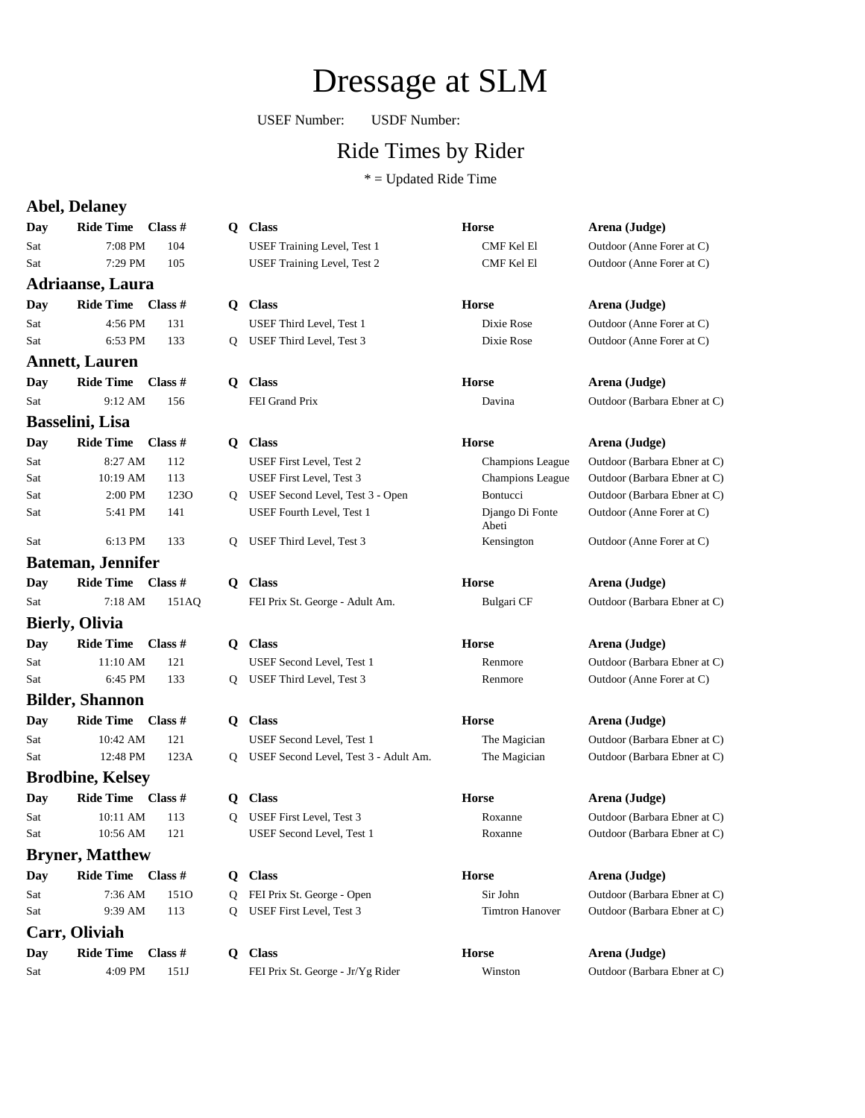## Dressage at SLM

USEF Number: USDF Number:

### Ride Times by Rider

 $*$  = Updated Ride Time

### **Abel, Delaney**

|                        | ADU, DUANCY                       |               |  |
|------------------------|-----------------------------------|---------------|--|
|                        | Day Ride Time Class #             |               |  |
| Sat                    | 7:08 PM                           | 104           |  |
| Sat                    | 7:29 PM 105                       |               |  |
|                        | <b>Adriaanse, Laura</b>           |               |  |
|                        | Day Ride Time Class #             |               |  |
| Sat                    | 4:56 PM                           | 131           |  |
| Sat                    | 6:53 PM 133                       |               |  |
|                        | <b>Annett, Lauren</b>             |               |  |
|                        | Day Ride Time Class #             |               |  |
| Sat                    | 9:12 AM 156                       |               |  |
|                        | Basselini, Lisa                   |               |  |
|                        | Day Ride Time Class #             |               |  |
| Sat                    | 8:27 AM                           | 112           |  |
| Sat                    | 10:19 AM 113                      |               |  |
| Sat                    | $2:00$ PM                         | 1230          |  |
| Sat                    | 5:41 PM                           | 141           |  |
| Sat                    | 6:13 PM 133                       |               |  |
|                        | <b>Bateman, Jennifer</b>          |               |  |
|                        |                                   |               |  |
| Sat                    | Day Ride Time Class #             | 7:18 AM 151AQ |  |
|                        | <b>Bierly, Olivia</b>             |               |  |
|                        |                                   |               |  |
|                        | Day Ride Time Class #             |               |  |
| Sat<br>Sat             | $11:10 \text{ AM}$ 121<br>6:45 PM | 133           |  |
|                        |                                   |               |  |
|                        | <b>Bilder, Shannon</b>            |               |  |
|                        | Day Ride Time Class #             |               |  |
| Sat                    | 10:42 AM<br>12:48 PM 123A         | 121           |  |
| Sat                    |                                   |               |  |
|                        | <b>Brodbine, Kelsey</b>           |               |  |
|                        | Day Ride Time Class #             |               |  |
| Sat                    | 10:11 AM                          | 113           |  |
| Sat                    | 10:56 AM 121                      |               |  |
| <b>Bryner, Matthew</b> |                                   |               |  |
|                        | Day Ride Time Class #             |               |  |
| Sat                    | 7:36 AM                           | 1510          |  |
| Sat                    | 9:39 AM 113                       |               |  |
|                        | Carr, Oliviah                     |               |  |

| Dav | <b>Ride Time</b> | Class # |
|-----|------------------|---------|
| Sat | $4:09$ PM        | 151J    |

| ey             |           |   |                                         |                          |                              |
|----------------|-----------|---|-----------------------------------------|--------------------------|------------------------------|
| Time           | Class $#$ |   | Q Class                                 | <b>Horse</b>             | Arena (Judge)                |
| 7:08 PM        | 104       |   | <b>USEF Training Level, Test 1</b>      | <b>CMF Kel El</b>        | Outdoor (Anne Forer at C)    |
| 7:29 PM        | 105       |   | USEF Training Level, Test 2             | <b>CMF Kel El</b>        | Outdoor (Anne Forer at C)    |
| Laura          |           |   |                                         |                          |                              |
| Time           | Class #   |   | O Class                                 | <b>Horse</b>             | Arena (Judge)                |
| 4:56 PM        | 131       |   | USEF Third Level, Test 1                | Dixie Rose               | Outdoor (Anne Forer at C)    |
| 6:53 PM        | 133       | 0 | USEF Third Level, Test 3                | Dixie Rose               | Outdoor (Anne Forer at C)    |
| uren           |           |   |                                         |                          |                              |
| Time           | Class #   |   | O Class                                 | <b>Horse</b>             | Arena (Judge)                |
| 9:12 AM        | 156       |   | FEI Grand Prix                          | Davina                   | Outdoor (Barbara Ebner at C) |
| isa            |           |   |                                         |                          |                              |
| Time           | Class $#$ |   | Q Class                                 | <b>Horse</b>             | Arena (Judge)                |
| 8:27 AM        | 112       |   | USEF First Level, Test 2                | <b>Champions League</b>  | Outdoor (Barbara Ebner at C) |
| 0:19 AM        | 113       |   | USEF First Level, Test 3                | <b>Champions League</b>  | Outdoor (Barbara Ebner at C) |
| 2:00 PM        | 1230      |   | Q USEF Second Level, Test 3 - Open      | Bontucci                 | Outdoor (Barbara Ebner at C) |
| 5:41 PM        | 141       |   | USEF Fourth Level, Test 1               | Django Di Fonte<br>Abeti | Outdoor (Anne Forer at C)    |
| 6:13 PM        | 133       | Q | USEF Third Level, Test 3                | Kensington               | Outdoor (Anne Forer at C)    |
| <b>ennifer</b> |           |   |                                         |                          |                              |
| Time           | Class #   |   | O Class                                 | <b>Horse</b>             | Arena (Judge)                |
| 7:18 AM        | 151AQ     |   | FEI Prix St. George - Adult Am.         | Bulgari CF               | Outdoor (Barbara Ebner at C) |
| <i>r</i> ia    |           |   |                                         |                          |                              |
| Time           | Class $#$ |   | Q Class                                 | <b>Horse</b>             | Arena (Judge)                |
| 1:10 AM        | 121       |   | USEF Second Level, Test 1               | Renmore                  | Outdoor (Barbara Ebner at C) |
| 6:45 PM        | 133       | 0 | USEF Third Level, Test 3                | Renmore                  | Outdoor (Anne Forer at C)    |
| nnon           |           |   |                                         |                          |                              |
| Time           | Class $#$ |   | Q Class                                 | <b>Horse</b>             | Arena (Judge)                |
| $0:42$ AM      | 121       |   | USEF Second Level, Test 1               | The Magician             | Outdoor (Barbara Ebner at C) |
| 2:48 PM        | 123A      |   | Q USEF Second Level, Test 3 - Adult Am. | The Magician             | Outdoor (Barbara Ebner at C) |
| Kelsey         |           |   |                                         |                          |                              |
| Time           | Class $#$ | 0 | <b>Class</b>                            | <b>Horse</b>             | Arena (Judge)                |
| $0:11$ AM      | 113       | 0 | USEF First Level, Test 3                | Roxanne                  | Outdoor (Barbara Ebner at C) |
| 0:56 AM        | 121       |   | USEF Second Level, Test 1               | Roxanne                  | Outdoor (Barbara Ebner at C) |
| atthew         |           |   |                                         |                          |                              |
| Time           | Class #   |   | Q Class                                 | <b>Horse</b>             | Arena (Judge)                |

O FEI Prix St. George - Open Sir John Outdoor (Barbara Ebner at C) Q USEF First Level, Test 3 Timtron Hanover Outdoor (Barbara Ebner at C)

**Data Ride Times # Ride Times # Class** # **Arena** (Judge) FEI Prix St. George - Jr/Yg Rider Winston Outdoor (Barbara Ebner at C)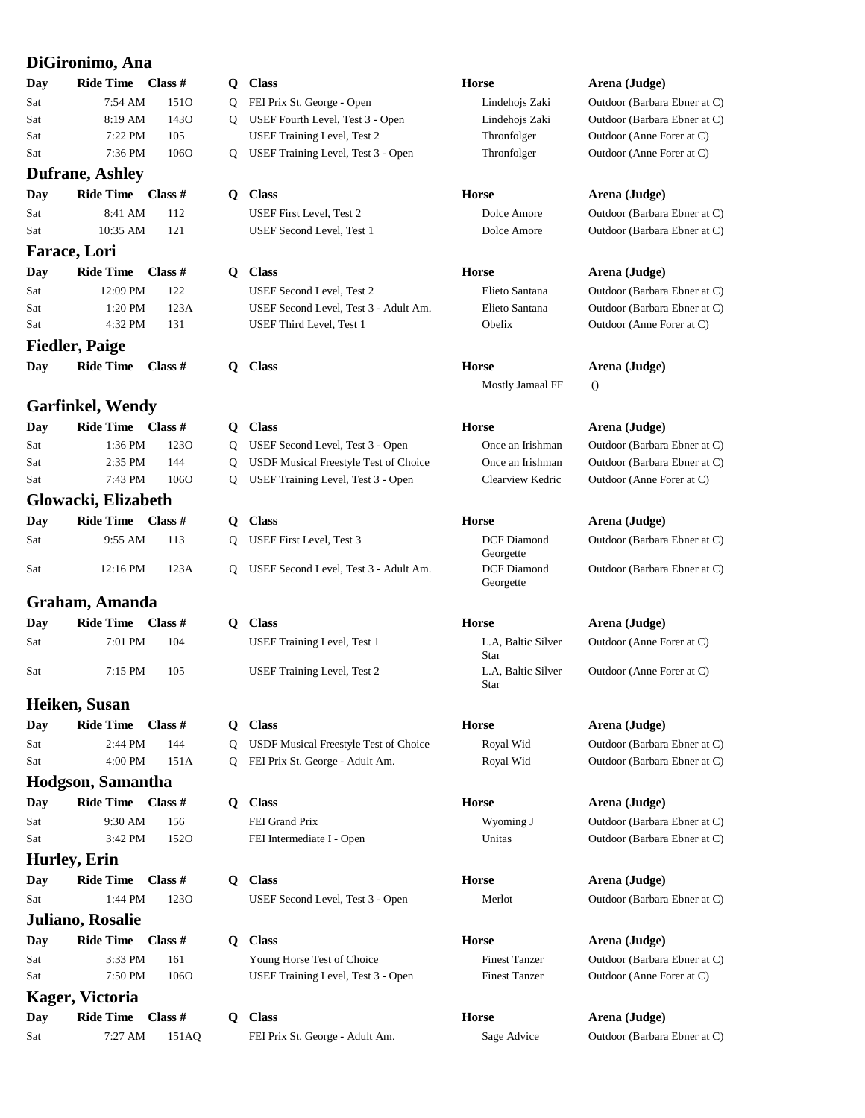### **DiGironimo, Ana**

| Day | Ride Time Class # |                  |
|-----|-------------------|------------------|
| Sat | 7:54 AM           | 151 <sub>O</sub> |
| Sat | 8:19 AM           | 143O             |
| Sat | $7:22$ PM         | 105              |
| Sat | $7:36$ PM         | 1060             |
|     |                   |                  |

### **Dufrane, Ashley**

### **Farace, Lori**

| Day                   | Ride Time Class # |      |  |  |
|-----------------------|-------------------|------|--|--|
| Sat                   | $12:09$ PM        | 122  |  |  |
| Sat                   | $1:20$ PM         | 123A |  |  |
| Sat                   | 4:32 PM           | 131  |  |  |
| <b>Fiedler, Paige</b> |                   |      |  |  |

### **Garfinkel, Wendy**

| Day           | Ride Time Class # |      |
|---------------|-------------------|------|
| Sat           | 1:36 PM           | 1230 |
| Sat           | $2:35$ PM         | 144  |
| Sat           | 7:43 PM           | 1060 |
| $\sim$ $\sim$ |                   |      |

### **Glowacki, Elizabeth**

| Day | Ride Time $\blacksquare$ Class # |      |
|-----|----------------------------------|------|
| Sat | $9:55$ AM 113                    |      |
| Sat | 12:16 PM                         | 123A |

### **Graham, Amanda**

| Day        | Ride Time Class # |     |
|------------|-------------------|-----|
| Sat        | 7:01 PM           | 104 |
| <b>Sat</b> | $7:15$ PM         | 105 |

### **Heiken, Susan**

| Day | Ride Time Class # |      |
|-----|-------------------|------|
| Sat | $2:44$ PM         | 144  |
| Sat | $4:00 \text{ PM}$ | 151A |

### **Hodgson, Samantha**

### **Hurley, Erin**

### **Juliano, Rosalie**

| Day        | <b>Ride Time</b>  | Class # |  |
|------------|-------------------|---------|--|
| <b>Sat</b> | $3:33$ PM         | 161     |  |
| Sat        | $7:50 \text{ PM}$ | 106C    |  |

### **Kager, Victoria**

| Day | Ride Time Class # |       |
|-----|-------------------|-------|
| Sat | $7:27$ AM         | 151AO |

| Day | Ride Time Class #       |                  | Q | <b>Class</b>                          | <b>Horse</b>                    | Arena (Judge)                |
|-----|-------------------------|------------------|---|---------------------------------------|---------------------------------|------------------------------|
| Sat | 7:54 AM                 | 151 <sub>O</sub> | Q | FEI Prix St. George - Open            | Lindehojs Zaki                  | Outdoor (Barbara Ebner at C) |
| Sat | 8:19 AM                 | 143O             | O | USEF Fourth Level, Test 3 - Open      | Lindehojs Zaki                  | Outdoor (Barbara Ebner at C) |
| Sat | 7:22 PM                 | 105              |   | USEF Training Level, Test 2           | Thronfolger                     | Outdoor (Anne Forer at C)    |
| Sat | 7:36 PM                 | 106O             | Q | USEF Training Level, Test 3 - Open    | Thronfolger                     | Outdoor (Anne Forer at C)    |
|     | <b>Dufrane, Ashley</b>  |                  |   |                                       |                                 |                              |
| Day | Ride Time Class #       |                  | Q | <b>Class</b>                          | <b>Horse</b>                    | Arena (Judge)                |
| Sat | 8:41 AM                 | 112              |   | USEF First Level, Test 2              | Dolce Amore                     | Outdoor (Barbara Ebner at C) |
| Sat | 10:35 AM                | 121              |   | USEF Second Level, Test 1             | Dolce Amore                     | Outdoor (Barbara Ebner at C) |
|     | <b>Farace, Lori</b>     |                  |   |                                       |                                 |                              |
| Day | <b>Ride Time</b>        | Class $#$        | Q | <b>Class</b>                          | <b>Horse</b>                    | Arena (Judge)                |
| Sat | 12:09 PM                | 122              |   | USEF Second Level, Test 2             | Elieto Santana                  | Outdoor (Barbara Ebner at C) |
| Sat | 1:20 PM                 | 123A             |   | USEF Second Level, Test 3 - Adult Am. | Elieto Santana                  | Outdoor (Barbara Ebner at C) |
| Sat | 4:32 PM                 | 131              |   | USEF Third Level, Test 1              | Obelix                          | Outdoor (Anne Forer at C)    |
|     | <b>Fiedler, Paige</b>   |                  |   |                                       |                                 |                              |
| Day | <b>Ride Time</b>        | Class #          | Q | <b>Class</b>                          | <b>Horse</b>                    | Arena (Judge)                |
|     |                         |                  |   |                                       | Mostly Jamaal FF                | $\theta$                     |
|     | <b>Garfinkel, Wendy</b> |                  |   |                                       |                                 |                              |
| Day | <b>Ride Time</b>        | Class $#$        | Q | <b>Class</b>                          | <b>Horse</b>                    | Arena (Judge)                |
| Sat | 1:36 PM                 | 123O             | Q | USEF Second Level, Test 3 - Open      | Once an Irishman                | Outdoor (Barbara Ebner at C) |
| Sat | 2:35 PM                 | 144              | Q | USDF Musical Freestyle Test of Choice | Once an Irishman                | Outdoor (Barbara Ebner at C) |
| Sat | 7:43 PM                 | 1060             | Q | USEF Training Level, Test 3 - Open    | Clearview Kedric                | Outdoor (Anne Forer at C)    |
|     | Glowacki, Elizabeth     |                  |   |                                       |                                 |                              |
| Day | <b>Ride Time</b>        | Class #          | Q | <b>Class</b>                          | <b>Horse</b>                    | Arena (Judge)                |
| Sat | 9:55 AM                 | 113              | Q | USEF First Level, Test 3              | <b>DCF</b> Diamond<br>Georgette | Outdoor (Barbara Ebner at C) |
| Sat | 12:16 PM                | 123A             | Q | USEF Second Level, Test 3 - Adult Am. | DCF Diamond<br>Georgette        | Outdoor (Barbara Ebner at C) |
|     | Graham, Amanda          |                  |   |                                       |                                 |                              |
| Day | <b>Ride Time</b>        | Class $#$        | Q | <b>Class</b>                          | <b>Horse</b>                    | Arena (Judge)                |
| Sat | 7:01 PM                 | 104              |   | USEF Training Level, Test 1           | L.A, Baltic Silver<br>Star      | Outdoor (Anne Forer at C)    |
| Sat | 7:15 PM                 | 105              |   | USEF Training Level, Test 2           | L.A, Baltic Silver<br>Star      | Outdoor (Anne Forer at C)    |
|     | Heiken, Susan           |                  |   |                                       |                                 |                              |
| Day | <b>Ride Time</b>        | Class #          | Q | <b>Class</b>                          | Horse                           | Arena (Judge)                |
| Sat | 2:44 PM                 | 144              | Q | USDF Musical Freestyle Test of Choice | Royal Wid                       | Outdoor (Barbara Ebner at C) |
| Sat | 4:00 PM                 | 151A             | 0 | FEI Prix St. George - Adult Am.       | Royal Wid                       | Outdoor (Barbara Ebner at C) |
|     | Hodgson, Samantha       |                  |   |                                       |                                 |                              |
| Day | <b>Ride Time</b>        | Class $#$        | Q | <b>Class</b>                          | <b>Horse</b>                    | Arena (Judge)                |
| Sat | 9:30 AM                 | 156              |   | FEI Grand Prix                        | Wyoming J                       | Outdoor (Barbara Ebner at C) |
| Sat | 3:42 PM                 | 152O             |   | FEI Intermediate I - Open             | Unitas                          | Outdoor (Barbara Ebner at C) |
|     | Hurley, Erin            |                  |   |                                       |                                 |                              |
| Day | <b>Ride Time</b>        | Class #          | Q | <b>Class</b>                          | Horse                           | Arena (Judge)                |
| Sat | 1:44 PM                 | 1230             |   | USEF Second Level, Test 3 - Open      | Merlot                          | Outdoor (Barbara Ebner at C) |

**D Class Horse Arena (Judge)** Young Horse Test of Choice Finest Tanzer Outdoor (Barbara Ebner at C) O USEF Training Level, Test 3 - Open Finest Tanzer Outdoor (Anne Forer at C)

**Data Ride Times # Ride Times # Class** # **Arena** (Judge) FEI Prix St. George - Adult Am. Sage Advice Outdoor (Barbara Ebner at C)

# Thronfolger **Outdoor** (Anne Forer at C)

### Outdoor (Anne Forer at C)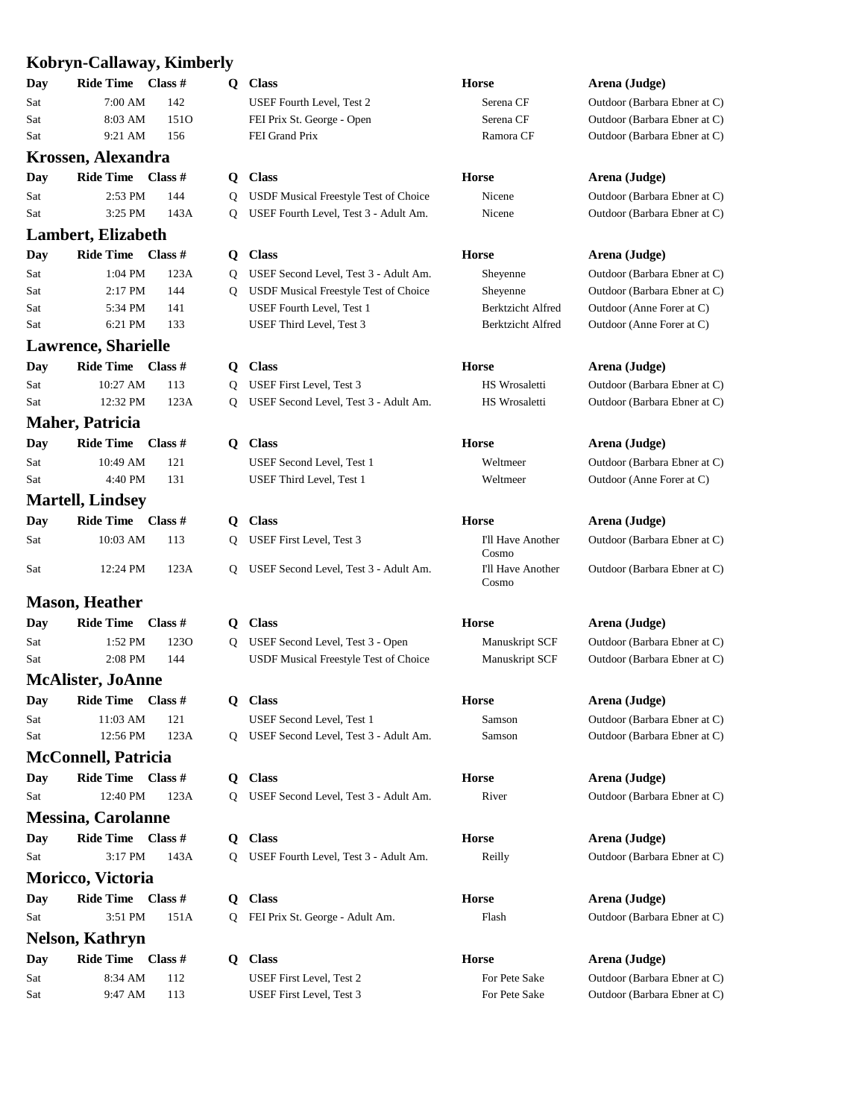### **Kobryn-Callaway, Kimberly**

|     | KODFYN-Canaway, Khmdei     |               |
|-----|----------------------------|---------------|
|     | Day Ride Time Class #      |               |
| Sat | 7:00 AM 142                |               |
| Sat |                            | 8:03 AM 1510  |
| Sat | 9:21 AM 156                |               |
|     | Krossen, Alexandra         |               |
| Day | Ride Time Class #          |               |
| Sat | 2:53 PM                    | 144           |
| Sat |                            | 3:25 PM 143A  |
|     | <b>Lambert, Elizabeth</b>  |               |
| Day | Ride Time Class #          |               |
| Sat |                            | 1:04 PM 123A  |
| Sat | 2:17 PM                    | 144           |
| Sat | 5:34 PM                    | 141           |
| Sat | 6:21 PM 133                |               |
|     | <b>Lawrence, Sharielle</b> |               |
| Day | Ride Time Class #          |               |
| Sat | 10:27 AM 113               |               |
| Sat |                            | 12:32 PM 123A |
|     | <b>Maher, Patricia</b>     |               |
|     | Day Ride Time Class #      |               |
| Sat | 10:49 AM                   | 121           |
| Sat | 4:40 PM 131                |               |
|     | <b>Martell, Lindsey</b>    |               |
| Day | Ride Time Class #          |               |
|     | 10:03 AM                   |               |
| Sat |                            | 113           |
| Sat |                            | 12:24 PM 123A |
|     |                            |               |
|     | <b>Mason, Heather</b>      |               |
| Day | Ride Time Class #          |               |
| Sat | 1:52 PM                    | 1230          |
| Sat | $2:08$ PM                  | 144           |
|     | <b>McAlister, JoAnne</b>   |               |
| Day | Ride Time Class #          |               |
| Sat | 11:03 AM                   | 121           |
| Sat | 12:56 PM                   | 123A          |
|     | <b>McConnell, Patricia</b> |               |
| Day | Ride Time Class #          |               |
| Sat | 12:40 PM                   | 123A          |
|     | <b>Messina, Carolanne</b>  |               |
| Day | Ride Time Class #          |               |
| Sat | 3:17 PM                    | 143A          |
|     |                            |               |
|     | Moricco, Victoria          |               |

### **Nelson, Kathryn**

| Day        | Ride Time Class # |     |
|------------|-------------------|-----|
| Sat        | $8:34$ AM         | 112 |
| <b>Sat</b> | $9:47 \text{ AM}$ | 113 |

| Day | <b>Ride Time</b>           | Class $#$        | Q  | <b>Class</b>                          | Horse                      | Arena (Judge)                |
|-----|----------------------------|------------------|----|---------------------------------------|----------------------------|------------------------------|
| Sat | 7:00 AM                    | 142              |    | USEF Fourth Level, Test 2             | Serena CF                  | Outdoor (Barbara Ebner at C) |
| Sat | 8:03 AM                    | 151O             |    | FEI Prix St. George - Open            | Serena CF                  | Outdoor (Barbara Ebner at C) |
| Sat | 9:21 AM                    | 156              |    | FEI Grand Prix                        | Ramora CF                  | Outdoor (Barbara Ebner at C) |
|     | Krossen, Alexandra         |                  |    |                                       |                            |                              |
| Day | <b>Ride Time</b>           | Class $#$        | Q  | <b>Class</b>                          | <b>Horse</b>               | Arena (Judge)                |
| Sat | 2:53 PM                    | 144              | Q  | USDF Musical Freestyle Test of Choice | Nicene                     | Outdoor (Barbara Ebner at C) |
| Sat | 3:25 PM                    | 143A             | Q  | USEF Fourth Level, Test 3 - Adult Am. | Nicene                     | Outdoor (Barbara Ebner at C) |
|     | <b>Lambert, Elizabeth</b>  |                  |    |                                       |                            |                              |
| Day | Ride Time Class #          |                  | Q  | <b>Class</b>                          | <b>Horse</b>               | Arena (Judge)                |
| Sat | 1:04 PM                    | 123A             | Q  | USEF Second Level, Test 3 - Adult Am. | Sheyenne                   | Outdoor (Barbara Ebner at C) |
| Sat | $2:17$ PM                  | 144              | Q  | USDF Musical Freestyle Test of Choice | Sheyenne                   | Outdoor (Barbara Ebner at C) |
| Sat | 5:34 PM                    | 141              |    | USEF Fourth Level, Test 1             | <b>Berktzicht Alfred</b>   | Outdoor (Anne Forer at C)    |
| Sat | 6:21 PM                    | 133              |    | USEF Third Level, Test 3              | Berktzicht Alfred          | Outdoor (Anne Forer at C)    |
|     | <b>Lawrence, Sharielle</b> |                  |    |                                       |                            |                              |
| Day | <b>Ride Time</b>           | Class $#$        | Q  | <b>Class</b>                          | <b>Horse</b>               | Arena (Judge)                |
| Sat | 10:27 AM                   | 113              | Q  | USEF First Level, Test 3              | <b>HS</b> Wrosaletti       | Outdoor (Barbara Ebner at C) |
| Sat | 12:32 PM                   | 123A             | Q  | USEF Second Level, Test 3 - Adult Am. | <b>HS</b> Wrosaletti       | Outdoor (Barbara Ebner at C) |
|     | <b>Maher, Patricia</b>     |                  |    |                                       |                            |                              |
| Day | <b>Ride Time</b>           | Class $#$        | Q  | <b>Class</b>                          | <b>Horse</b>               | Arena (Judge)                |
| Sat | 10:49 AM                   | 121              |    | USEF Second Level, Test 1             | Weltmeer                   | Outdoor (Barbara Ebner at C) |
| Sat | 4:40 PM                    | 131              |    | USEF Third Level, Test 1              | Weltmeer                   | Outdoor (Anne Forer at C)    |
|     | <b>Martell, Lindsey</b>    |                  |    |                                       |                            |                              |
| Day | Ride Time Class #          |                  | Q  | <b>Class</b>                          | Horse                      | Arena (Judge)                |
| Sat | 10:03 AM                   | 113              | 0  | USEF First Level, Test 3              | I'll Have Another<br>Cosmo | Outdoor (Barbara Ebner at C) |
| Sat | 12:24 PM                   | 123A             | Q  | USEF Second Level, Test 3 - Adult Am. | I'll Have Another<br>Cosmo | Outdoor (Barbara Ebner at C) |
|     | <b>Mason, Heather</b>      |                  |    |                                       |                            |                              |
| Day | <b>Ride Time</b>           | Class $#$        | Q. | <b>Class</b>                          | <b>Horse</b>               | Arena (Judge)                |
| Sat | 1:52 PM                    | 123 <sub>O</sub> | Q  | USEF Second Level, Test 3 - Open      | Manuskript SCF             | Outdoor (Barbara Ebner at C) |
| Sat | 2:08 PM                    | 144              |    | USDF Musical Freestyle Test of Choice | Manuskript SCF             | Outdoor (Barbara Ebner at C) |
|     | <b>McAlister, JoAnne</b>   |                  |    |                                       |                            |                              |
| Day | <b>Ride Time</b>           | Class $#$        | Q  | <b>Class</b>                          | <b>Horse</b>               | Arena (Judge)                |
| Sat | 11:03 AM                   | 121              |    | USEF Second Level, Test 1             | Samson                     | Outdoor (Barbara Ebner at C) |
| Sat | 12:56 PM                   | 123A             | O  | USEF Second Level, Test 3 - Adult Am. | Samson                     | Outdoor (Barbara Ebner at C) |
|     | <b>McConnell, Patricia</b> |                  |    |                                       |                            |                              |
| Day | Ride Time Class #          |                  | Q. | <b>Class</b>                          | Horse                      | Arena (Judge)                |
| Sat | 12:40 PM                   | 123A             | Q  | USEF Second Level, Test 3 - Adult Am. | River                      | Outdoor (Barbara Ebner at C) |
|     | <b>Messina, Carolanne</b>  |                  |    |                                       |                            |                              |
| Day | <b>Ride Time</b>           | Class #          | Q. | <b>Class</b>                          | Horse                      | Arena (Judge)                |
| Sat | 3:17 PM                    | 143A             | O  | USEF Fourth Level, Test 3 - Adult Am. | Reilly                     | Outdoor (Barbara Ebner at C) |
|     |                            |                  |    |                                       |                            |                              |
|     | Moricco, Victoria          |                  |    |                                       |                            |                              |
| Day | <b>Ride Time</b>           | Class $#$        | Q. | <b>Class</b>                          | Horse                      | Arena (Judge)                |
| Sat | 3:51 PM                    | 151A             | Q  | FEI Prix St. George - Adult Am.       | Flash                      | Outdoor (Barbara Ebner at C) |
|     | <b>Nelson, Kathryn</b>     |                  |    |                                       |                            |                              |
| Day | Ride Time Class #          |                  | Q  | <b>Class</b>                          | <b>Horse</b>               | Arena (Judge)                |
| Sat | 8:34 AM                    | 112              |    | USEF First Level, Test 2              | For Pete Sake              | Outdoor (Barbara Ebner at C) |
| Sat | 9:47 AM                    | 113              |    | USEF First Level, Test 3              | For Pete Sake              | Outdoor (Barbara Ebner at C) |

- 
-